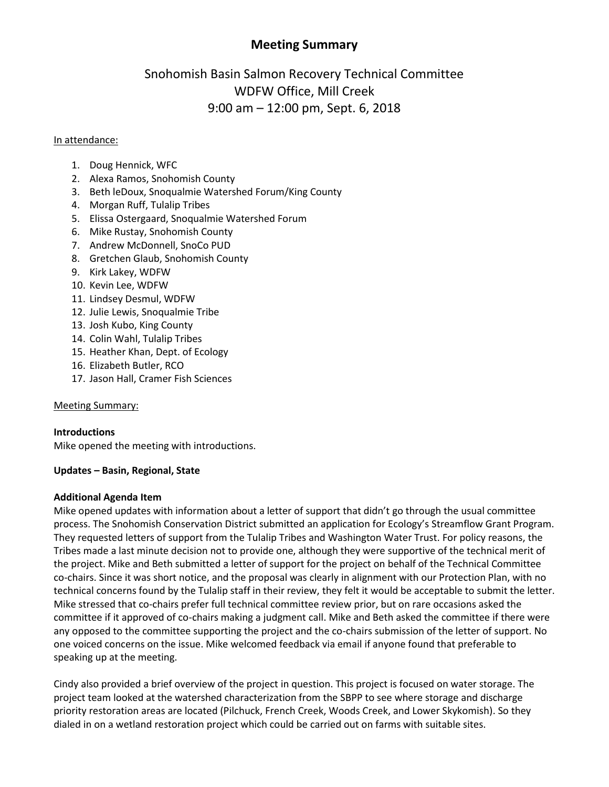## **Meeting Summary**

# Snohomish Basin Salmon Recovery Technical Committee WDFW Office, Mill Creek 9:00 am – 12:00 pm, Sept. 6, 2018

## In attendance:

- 1. Doug Hennick, WFC
- 2. Alexa Ramos, Snohomish County
- 3. Beth leDoux, Snoqualmie Watershed Forum/King County
- 4. Morgan Ruff, Tulalip Tribes
- 5. Elissa Ostergaard, Snoqualmie Watershed Forum
- 6. Mike Rustay, Snohomish County
- 7. Andrew McDonnell, SnoCo PUD
- 8. Gretchen Glaub, Snohomish County
- 9. Kirk Lakey, WDFW
- 10. Kevin Lee, WDFW
- 11. Lindsey Desmul, WDFW
- 12. Julie Lewis, Snoqualmie Tribe
- 13. Josh Kubo, King County
- 14. Colin Wahl, Tulalip Tribes
- 15. Heather Khan, Dept. of Ecology
- 16. Elizabeth Butler, RCO
- 17. Jason Hall, Cramer Fish Sciences

## Meeting Summary:

## **Introductions**

Mike opened the meeting with introductions.

## **Updates – Basin, Regional, State**

## **Additional Agenda Item**

Mike opened updates with information about a letter of support that didn't go through the usual committee process. The Snohomish Conservation District submitted an application for Ecology's Streamflow Grant Program. They requested letters of support from the Tulalip Tribes and Washington Water Trust. For policy reasons, the Tribes made a last minute decision not to provide one, although they were supportive of the technical merit of the project. Mike and Beth submitted a letter of support for the project on behalf of the Technical Committee co-chairs. Since it was short notice, and the proposal was clearly in alignment with our Protection Plan, with no technical concerns found by the Tulalip staff in their review, they felt it would be acceptable to submit the letter. Mike stressed that co-chairs prefer full technical committee review prior, but on rare occasions asked the committee if it approved of co-chairs making a judgment call. Mike and Beth asked the committee if there were any opposed to the committee supporting the project and the co-chairs submission of the letter of support. No one voiced concerns on the issue. Mike welcomed feedback via email if anyone found that preferable to speaking up at the meeting.

Cindy also provided a brief overview of the project in question. This project is focused on water storage. The project team looked at the watershed characterization from the SBPP to see where storage and discharge priority restoration areas are located (Pilchuck, French Creek, Woods Creek, and Lower Skykomish). So they dialed in on a wetland restoration project which could be carried out on farms with suitable sites.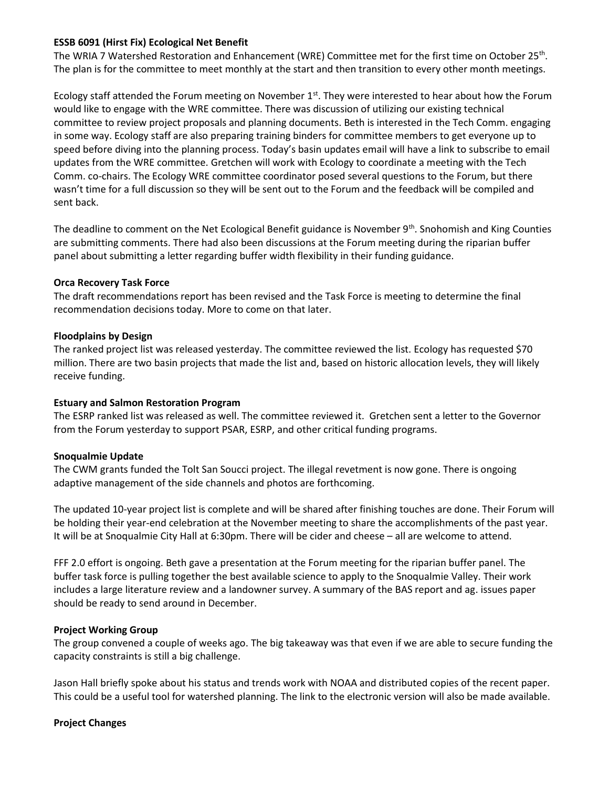## **ESSB 6091 (Hirst Fix) Ecological Net Benefit**

The WRIA 7 Watershed Restoration and Enhancement (WRE) Committee met for the first time on October 25<sup>th</sup>. The plan is for the committee to meet monthly at the start and then transition to every other month meetings.

Ecology staff attended the Forum meeting on November  $1<sup>st</sup>$ . They were interested to hear about how the Forum would like to engage with the WRE committee. There was discussion of utilizing our existing technical committee to review project proposals and planning documents. Beth is interested in the Tech Comm. engaging in some way. Ecology staff are also preparing training binders for committee members to get everyone up to speed before diving into the planning process. Today's basin updates email will have a link to subscribe to email updates from the WRE committee. Gretchen will work with Ecology to coordinate a meeting with the Tech Comm. co-chairs. The Ecology WRE committee coordinator posed several questions to the Forum, but there wasn't time for a full discussion so they will be sent out to the Forum and the feedback will be compiled and sent back.

The deadline to comment on the Net Ecological Benefit guidance is November 9<sup>th</sup>. Snohomish and King Counties are submitting comments. There had also been discussions at the Forum meeting during the riparian buffer panel about submitting a letter regarding buffer width flexibility in their funding guidance.

#### **Orca Recovery Task Force**

The draft recommendations report has been revised and the Task Force is meeting to determine the final recommendation decisions today. More to come on that later.

#### **Floodplains by Design**

The ranked project list was released yesterday. The committee reviewed the list. Ecology has requested \$70 million. There are two basin projects that made the list and, based on historic allocation levels, they will likely receive funding.

## **Estuary and Salmon Restoration Program**

The ESRP ranked list was released as well. The committee reviewed it. Gretchen sent a letter to the Governor from the Forum yesterday to support PSAR, ESRP, and other critical funding programs.

## **Snoqualmie Update**

The CWM grants funded the Tolt San Soucci project. The illegal revetment is now gone. There is ongoing adaptive management of the side channels and photos are forthcoming.

The updated 10-year project list is complete and will be shared after finishing touches are done. Their Forum will be holding their year-end celebration at the November meeting to share the accomplishments of the past year. It will be at Snoqualmie City Hall at 6:30pm. There will be cider and cheese – all are welcome to attend.

FFF 2.0 effort is ongoing. Beth gave a presentation at the Forum meeting for the riparian buffer panel. The buffer task force is pulling together the best available science to apply to the Snoqualmie Valley. Their work includes a large literature review and a landowner survey. A summary of the BAS report and ag. issues paper should be ready to send around in December.

#### **Project Working Group**

The group convened a couple of weeks ago. The big takeaway was that even if we are able to secure funding the capacity constraints is still a big challenge.

Jason Hall briefly spoke about his status and trends work with NOAA and distributed copies of the recent paper. This could be a useful tool for watershed planning. The link to the electronic version will also be made available.

## **Project Changes**